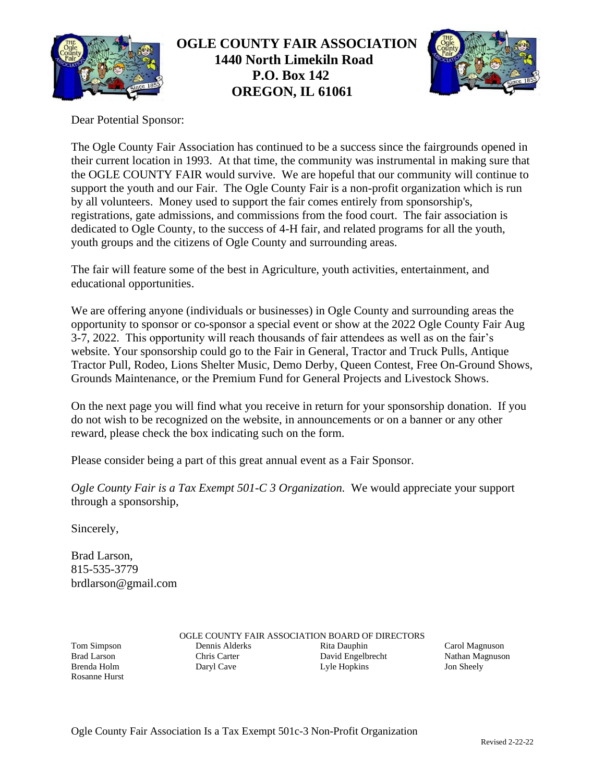

# **OGLE COUNTY FAIR ASSOCIATION 1440 North Limekiln Road P.O. Box 142 OREGON, IL 61061**



Dear Potential Sponsor:

The Ogle County Fair Association has continued to be a success since the fairgrounds opened in their current location in 1993. At that time, the community was instrumental in making sure that the OGLE COUNTY FAIR would survive. We are hopeful that our community will continue to support the youth and our Fair. The Ogle County Fair is a non-profit organization which is run by all volunteers. Money used to support the fair comes entirely from sponsorship's, registrations, gate admissions, and commissions from the food court. The fair association is dedicated to Ogle County, to the success of 4-H fair, and related programs for all the youth, youth groups and the citizens of Ogle County and surrounding areas.

The fair will feature some of the best in Agriculture, youth activities, entertainment, and educational opportunities.

We are offering anyone (individuals or businesses) in Ogle County and surrounding areas the opportunity to sponsor or co-sponsor a special event or show at the 2022 Ogle County Fair Aug 3-7, 2022. This opportunity will reach thousands of fair attendees as well as on the fair's website. Your sponsorship could go to the Fair in General, Tractor and Truck Pulls, Antique Tractor Pull, Rodeo, Lions Shelter Music, Demo Derby, Queen Contest, Free On-Ground Shows, Grounds Maintenance, or the Premium Fund for General Projects and Livestock Shows.

On the next page you will find what you receive in return for your sponsorship donation. If you do not wish to be recognized on the website, in announcements or on a banner or any other reward, please check the box indicating such on the form.

Please consider being a part of this great annual event as a Fair Sponsor.

*Ogle County Fair is a Tax Exempt 501-C 3 Organization.* We would appreciate your support through a sponsorship,

Sincerely,

Brad Larson, 815-535-3779 brdlarson@gmail.com

Tom Simpson Brad Larson Brenda Holm Rosanne Hurst OGLE COUNTY FAIR ASSOCIATION BOARD OF DIRECTORS Dennis Alderks Chris Carter Daryl Cave Rita Dauphin David Engelbrecht Lyle Hopkins

Carol Magnuson Nathan Magnuson Jon Sheely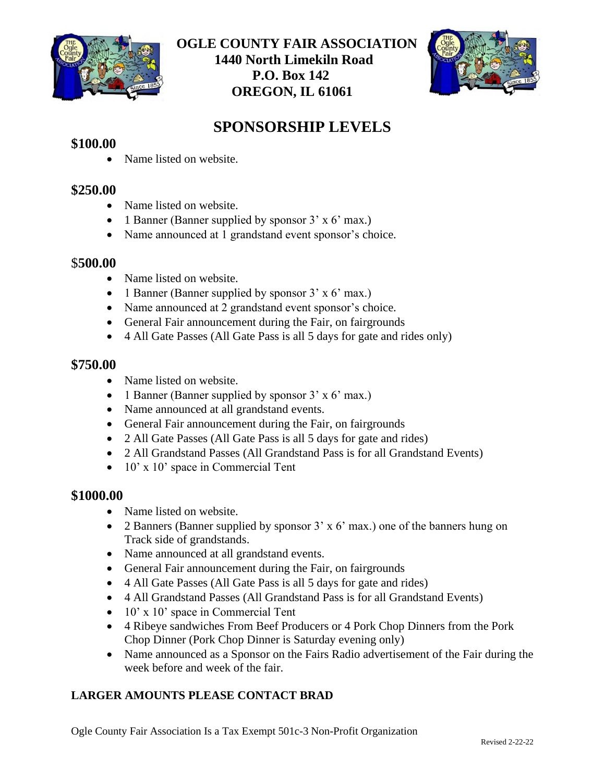

# **OGLE COUNTY FAIR ASSOCIATION 1440 North Limekiln Road P.O. Box 142 OREGON, IL 61061**



# **SPONSORSHIP LEVELS**

## **\$100.00**

• Name listed on website.

### **\$250.00**

- Name listed on website.
- 1 Banner (Banner supplied by sponsor  $3' \times 6'$  max.)
- Name announced at 1 grandstand event sponsor's choice.

#### \$**500.00**

- Name listed on website.
- 1 Banner (Banner supplied by sponsor 3' x 6' max.)
- Name announced at 2 grandstand event sponsor's choice.
- General Fair announcement during the Fair, on fairgrounds
- 4 All Gate Passes (All Gate Pass is all 5 days for gate and rides only)

#### **\$750.00**

- Name listed on website.
- 1 Banner (Banner supplied by sponsor  $3' \times 6'$  max.)
- Name announced at all grandstand events.
- General Fair announcement during the Fair, on fairgrounds
- 2 All Gate Passes (All Gate Pass is all 5 days for gate and rides)
- 2 All Grandstand Passes (All Grandstand Pass is for all Grandstand Events)
- 10' x 10' space in Commercial Tent

#### **\$1000.00**

- Name listed on website.
- 2 Banners (Banner supplied by sponsor 3' x 6' max.) one of the banners hung on Track side of grandstands.
- Name announced at all grandstand events.
- General Fair announcement during the Fair, on fairgrounds
- 4 All Gate Passes (All Gate Pass is all 5 days for gate and rides)
- 4 All Grandstand Passes (All Grandstand Pass is for all Grandstand Events)
- 10' x 10' space in Commercial Tent
- 4 Ribeye sandwiches From Beef Producers or 4 Pork Chop Dinners from the Pork Chop Dinner (Pork Chop Dinner is Saturday evening only)
- Name announced as a Sponsor on the Fairs Radio advertisement of the Fair during the week before and week of the fair.

### **LARGER AMOUNTS PLEASE CONTACT BRAD**